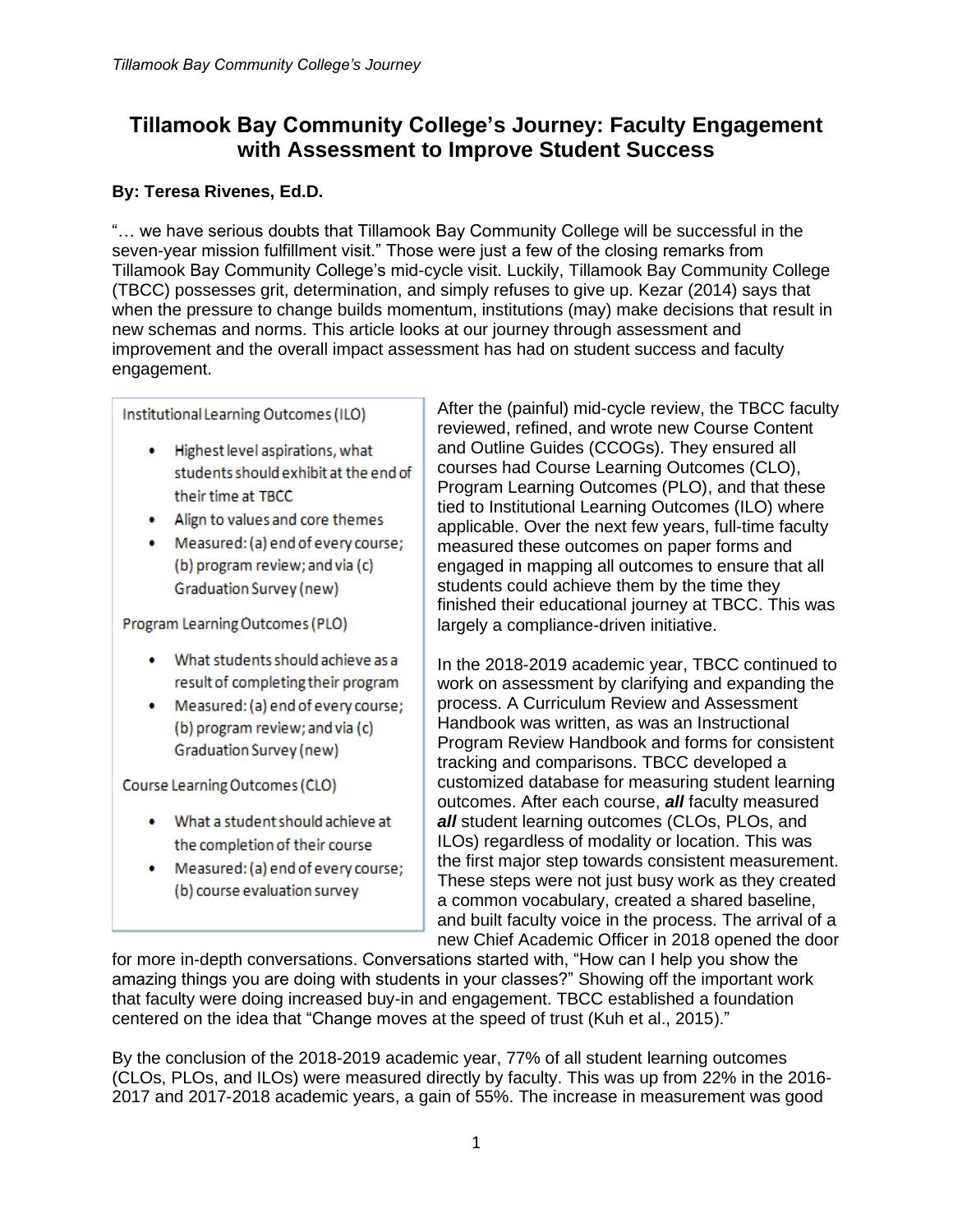# **Tillamook Bay Community College's Journey: Faculty Engagement with Assessment to Improve Student Success**

# **By: Teresa Rivenes, Ed.D.**

"… we have serious doubts that Tillamook Bay Community College will be successful in the seven-year mission fulfillment visit." Those were just a few of the closing remarks from Tillamook Bay Community College's mid-cycle visit. Luckily, Tillamook Bay Community College (TBCC) possesses grit, determination, and simply refuses to give up. Kezar (2014) says that when the pressure to change builds momentum, institutions (may) make decisions that result in new schemas and norms. This article looks at our journey through assessment and improvement and the overall impact assessment has had on student success and faculty engagement.

Institutional Learning Outcomes (ILO)

- . Highest level aspirations, what students should exhibit at the end of their time at TBCC
- . Align to values and core themes
- Measured: (a) end of every course; (b) program review; and via (c) Graduation Survey (new)

Program Learning Outcomes (PLO)

- What students should achieve as a result of completing their program
- Measured: (a) end of every course; (b) program review; and via (c) Graduation Survey (new)

Course Learning Outcomes (CLO)

- . What a student should achieve at the completion of their course
- Measured: (a) end of every course; (b) course evaluation survey

After the (painful) mid-cycle review, the TBCC faculty reviewed, refined, and wrote new Course Content and Outline Guides (CCOGs). They ensured all courses had Course Learning Outcomes (CLO), Program Learning Outcomes (PLO), and that these tied to Institutional Learning Outcomes (ILO) where applicable. Over the next few years, full-time faculty measured these outcomes on paper forms and engaged in mapping all outcomes to ensure that all students could achieve them by the time they finished their educational journey at TBCC. This was largely a compliance-driven initiative.

In the 2018-2019 academic year, TBCC continued to work on assessment by clarifying and expanding the process. A Curriculum Review and Assessment Handbook was written, as was an Instructional Program Review Handbook and forms for consistent tracking and comparisons. TBCC developed a customized database for measuring student learning outcomes. After each course, *all* faculty measured *all* student learning outcomes (CLOs, PLOs, and ILOs) regardless of modality or location. This was the first major step towards consistent measurement. These steps were not just busy work as they created a common vocabulary, created a shared baseline, and built faculty voice in the process. The arrival of a new Chief Academic Officer in 2018 opened the door

for more in-depth conversations. Conversations started with, "How can I help you show the amazing things you are doing with students in your classes?" Showing off the important work that faculty were doing increased buy-in and engagement. TBCC established a foundation centered on the idea that "Change moves at the speed of trust (Kuh et al., 2015)."

By the conclusion of the 2018-2019 academic year, 77% of all student learning outcomes (CLOs, PLOs, and ILOs) were measured directly by faculty. This was up from 22% in the 2016- 2017 and 2017-2018 academic years, a gain of 55%. The increase in measurement was good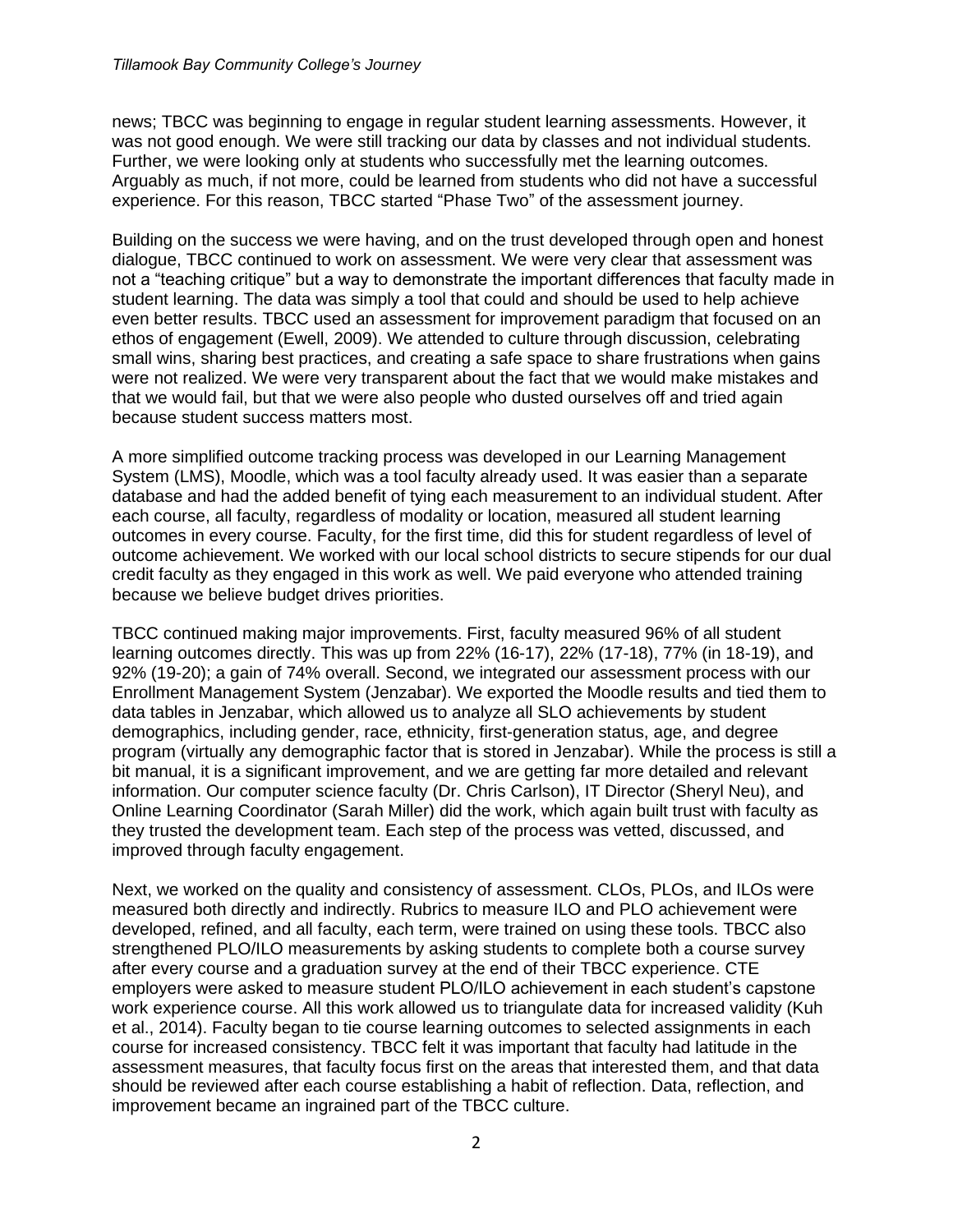news; TBCC was beginning to engage in regular student learning assessments. However, it was not good enough. We were still tracking our data by classes and not individual students. Further, we were looking only at students who successfully met the learning outcomes. Arguably as much, if not more, could be learned from students who did not have a successful experience. For this reason, TBCC started "Phase Two" of the assessment journey.

Building on the success we were having, and on the trust developed through open and honest dialogue, TBCC continued to work on assessment. We were very clear that assessment was not a "teaching critique" but a way to demonstrate the important differences that faculty made in student learning. The data was simply a tool that could and should be used to help achieve even better results. TBCC used an assessment for improvement paradigm that focused on an ethos of engagement (Ewell, 2009). We attended to culture through discussion, celebrating small wins, sharing best practices, and creating a safe space to share frustrations when gains were not realized. We were very transparent about the fact that we would make mistakes and that we would fail, but that we were also people who dusted ourselves off and tried again because student success matters most.

A more simplified outcome tracking process was developed in our Learning Management System (LMS), Moodle, which was a tool faculty already used. It was easier than a separate database and had the added benefit of tying each measurement to an individual student. After each course, all faculty, regardless of modality or location, measured all student learning outcomes in every course. Faculty, for the first time, did this for student regardless of level of outcome achievement. We worked with our local school districts to secure stipends for our dual credit faculty as they engaged in this work as well. We paid everyone who attended training because we believe budget drives priorities.

TBCC continued making major improvements. First, faculty measured 96% of all student learning outcomes directly. This was up from 22% (16-17), 22% (17-18), 77% (in 18-19), and 92% (19-20); a gain of 74% overall. Second, we integrated our assessment process with our Enrollment Management System (Jenzabar). We exported the Moodle results and tied them to data tables in Jenzabar, which allowed us to analyze all SLO achievements by student demographics, including gender, race, ethnicity, first-generation status, age, and degree program (virtually any demographic factor that is stored in Jenzabar). While the process is still a bit manual, it is a significant improvement, and we are getting far more detailed and relevant information. Our computer science faculty (Dr. Chris Carlson), IT Director (Sheryl Neu), and Online Learning Coordinator (Sarah Miller) did the work, which again built trust with faculty as they trusted the development team. Each step of the process was vetted, discussed, and improved through faculty engagement.

Next, we worked on the quality and consistency of assessment. CLOs, PLOs, and ILOs were measured both directly and indirectly. Rubrics to measure ILO and PLO achievement were developed, refined, and all faculty, each term, were trained on using these tools. TBCC also strengthened PLO/ILO measurements by asking students to complete both a course survey after every course and a graduation survey at the end of their TBCC experience. CTE employers were asked to measure student PLO/ILO achievement in each student's capstone work experience course. All this work allowed us to triangulate data for increased validity (Kuh et al., 2014). Faculty began to tie course learning outcomes to selected assignments in each course for increased consistency. TBCC felt it was important that faculty had latitude in the assessment measures, that faculty focus first on the areas that interested them, and that data should be reviewed after each course establishing a habit of reflection. Data, reflection, and improvement became an ingrained part of the TBCC culture.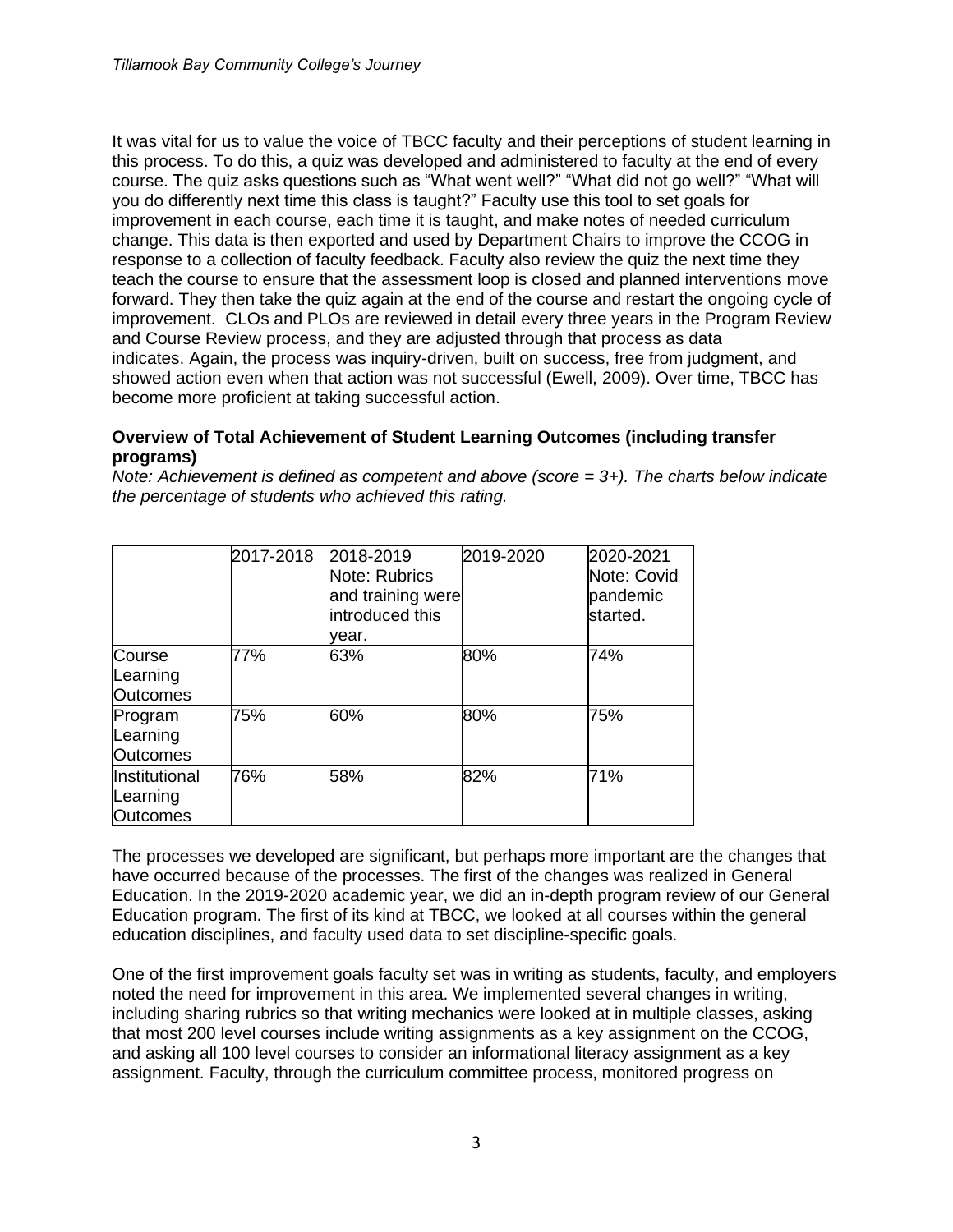It was vital for us to value the voice of TBCC faculty and their perceptions of student learning in this process. To do this, a quiz was developed and administered to faculty at the end of every course. The quiz asks questions such as "What went well?" "What did not go well?" "What will you do differently next time this class is taught?" Faculty use this tool to set goals for improvement in each course, each time it is taught, and make notes of needed curriculum change. This data is then exported and used by Department Chairs to improve the CCOG in response to a collection of faculty feedback. Faculty also review the quiz the next time they teach the course to ensure that the assessment loop is closed and planned interventions move forward. They then take the quiz again at the end of the course and restart the ongoing cycle of improvement. CLOs and PLOs are reviewed in detail every three years in the Program Review and Course Review process, and they are adjusted through that process as data indicates. Again, the process was inquiry-driven, built on success, free from judgment, and showed action even when that action was not successful (Ewell, 2009). Over time, TBCC has become more proficient at taking successful action.

#### **Overview of Total Achievement of Student Learning Outcomes (including transfer programs)**

*Note: Achievement is defined as competent and above (score = 3+). The charts below indicate the percentage of students who achieved this rating.*

|                                              | 2017-2018 | 2018-2019<br>Note: Rubrics<br>and training were<br>introduced this<br>vear. | 2019-2020 | 2020-2021<br>Note: Covid<br>pandemic<br>started. |
|----------------------------------------------|-----------|-----------------------------------------------------------------------------|-----------|--------------------------------------------------|
| Course<br>Learning<br><b>Outcomes</b>        | 77%       | 63%                                                                         | 80%       | 74%                                              |
| Program<br>Learning<br><b>Outcomes</b>       | 75%       | 60%                                                                         | 80%       | 75%                                              |
| Institutional<br>Learning<br><b>Outcomes</b> | 76%       | 58%                                                                         | 82%       | 71%                                              |

The processes we developed are significant, but perhaps more important are the changes that have occurred because of the processes. The first of the changes was realized in General Education. In the 2019-2020 academic year, we did an in-depth program review of our General Education program. The first of its kind at TBCC, we looked at all courses within the general education disciplines, and faculty used data to set discipline-specific goals.

One of the first improvement goals faculty set was in writing as students, faculty, and employers noted the need for improvement in this area. We implemented several changes in writing, including sharing rubrics so that writing mechanics were looked at in multiple classes, asking that most 200 level courses include writing assignments as a key assignment on the CCOG, and asking all 100 level courses to consider an informational literacy assignment as a key assignment. Faculty, through the curriculum committee process, monitored progress on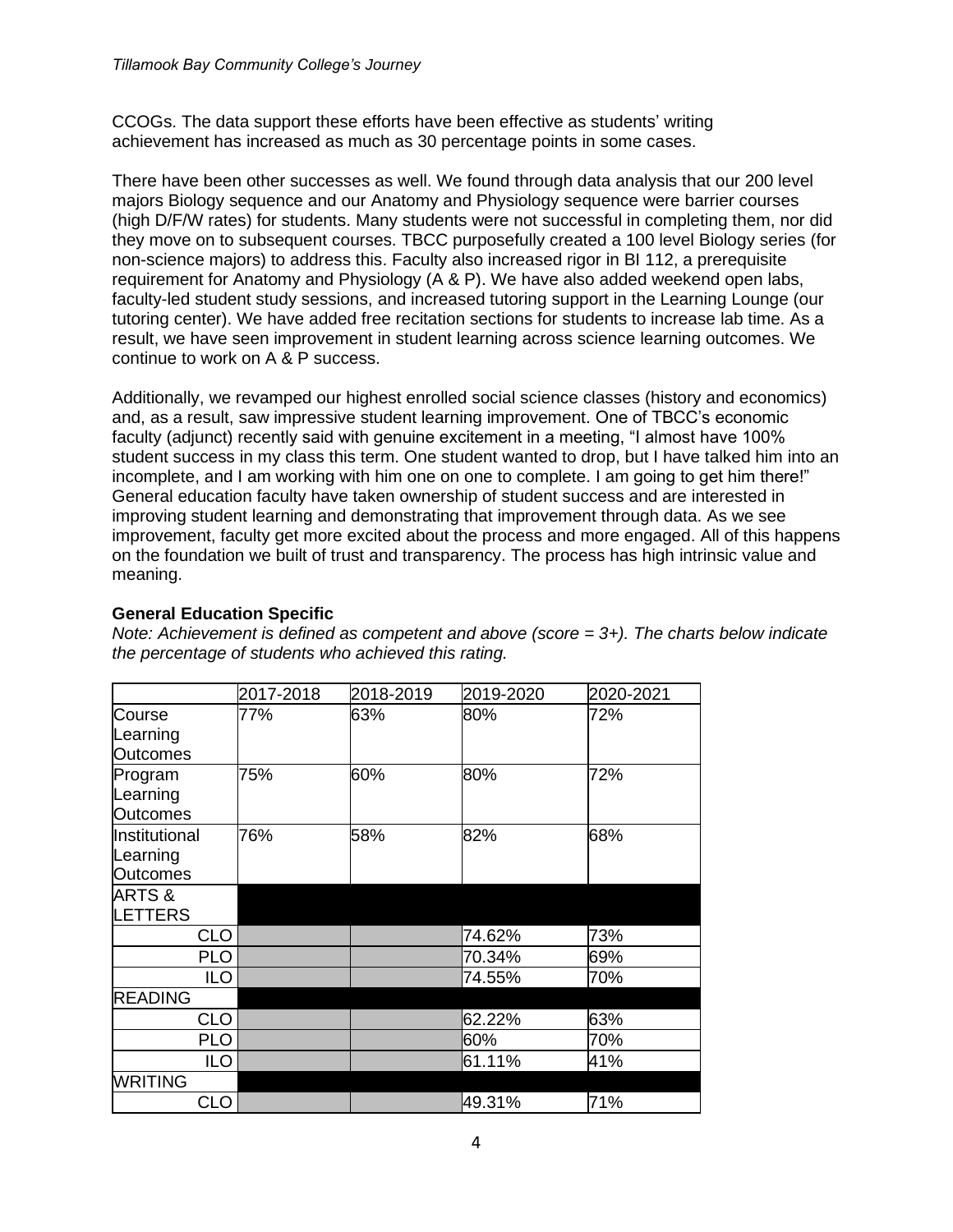CCOGs. The data support these efforts have been effective as students' writing achievement has increased as much as 30 percentage points in some cases.

There have been other successes as well. We found through data analysis that our 200 level majors Biology sequence and our Anatomy and Physiology sequence were barrier courses (high D/F/W rates) for students. Many students were not successful in completing them, nor did they move on to subsequent courses. TBCC purposefully created a 100 level Biology series (for non-science majors) to address this. Faculty also increased rigor in BI 112, a prerequisite requirement for Anatomy and Physiology (A & P). We have also added weekend open labs, faculty-led student study sessions, and increased tutoring support in the Learning Lounge (our tutoring center). We have added free recitation sections for students to increase lab time. As a result, we have seen improvement in student learning across science learning outcomes. We continue to work on A & P success.

Additionally, we revamped our highest enrolled social science classes (history and economics) and, as a result, saw impressive student learning improvement. One of TBCC's economic faculty (adjunct) recently said with genuine excitement in a meeting, "I almost have 100% student success in my class this term. One student wanted to drop, but I have talked him into an incomplete, and I am working with him one on one to complete. I am going to get him there!" General education faculty have taken ownership of student success and are interested in improving student learning and demonstrating that improvement through data. As we see improvement, faculty get more excited about the process and more engaged. All of this happens on the foundation we built of trust and transparency. The process has high intrinsic value and meaning.

## **General Education Specific**

*Note: Achievement is defined as competent and above (score = 3+). The charts below indicate the percentage of students who achieved this rating.*

|                                              | 2017-2018 | 2018-2019 | 2019-2020 | 2020-2021 |
|----------------------------------------------|-----------|-----------|-----------|-----------|
| Course<br>Learning<br><b>Outcomes</b>        | 77%       | 63%       | 80%       | 72%       |
| Program<br>Learning<br><b>Outcomes</b>       | 75%       | 60%       | 80%       | 72%       |
| Institutional<br>Learning<br><b>Outcomes</b> | 76%       | 58%       | 82%       | 68%       |
| <b>ARTS &amp;</b><br>LETTERS                 |           |           |           |           |
| CLO                                          |           |           | 74.62%    | 73%       |
| <b>PLO</b>                                   |           |           | 70.34%    | 69%       |
| <b>ILO</b>                                   |           |           | 74.55%    | 70%       |
| <b>READING</b>                               |           |           |           |           |
| <b>CLO</b>                                   |           |           | 62.22%    | 63%       |
| <b>PLO</b>                                   |           |           | 60%       | 70%       |
| <b>ILO</b>                                   |           |           | 61.11%    | 41%       |
| <b>WRITING</b>                               |           |           |           |           |
| <b>CLO</b>                                   |           |           | 49.31%    | 71%       |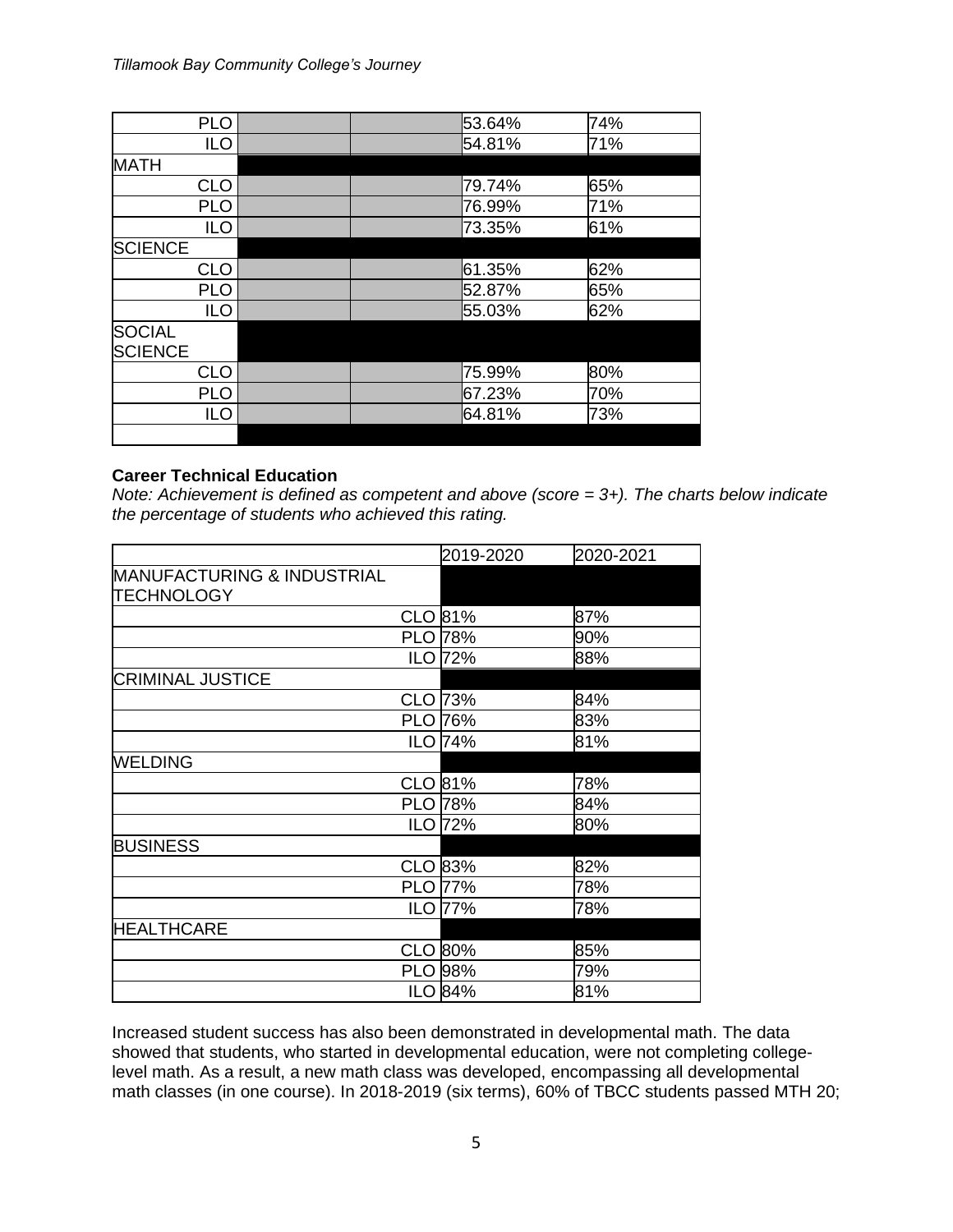| <b>PLO</b>     |  | 53.64% | 74% |
|----------------|--|--------|-----|
| <b>ILO</b>     |  | 54.81% | 71% |
| <b>MATH</b>    |  |        |     |
| <b>CLO</b>     |  | 79.74% | 65% |
| <b>PLO</b>     |  | 76.99% | 71% |
| <b>ILO</b>     |  | 73.35% | 61% |
| <b>SCIENCE</b> |  |        |     |
| <b>CLO</b>     |  | 61.35% | 62% |
| <b>PLO</b>     |  | 52.87% | 65% |
| <b>ILO</b>     |  | 55.03% | 62% |
| <b>SOCIAL</b>  |  |        |     |
| <b>SCIENCE</b> |  |        |     |
| <b>CLO</b>     |  | 75.99% | 80% |
| <b>PLO</b>     |  | 67.23% | 70% |
| <b>ILO</b>     |  | 64.81% | 73% |
|                |  |        |     |

#### **Career Technical Education**

*Note: Achievement is defined as competent and above (score = 3+). The charts below indicate the percentage of students who achieved this rating.*

|                                       | 2019-2020      | 2020-2021 |
|---------------------------------------|----------------|-----------|
| <b>MANUFACTURING &amp; INDUSTRIAL</b> |                |           |
| <b>TECHNOLOGY</b>                     |                |           |
|                                       | CLO 81%        | 87%       |
|                                       | <b>PLO 78%</b> | 90%       |
|                                       | ILO 72%        | 88%       |
| <b>CRIMINAL JUSTICE</b>               |                |           |
| <b>CLO</b>                            | 73%            | 84%       |
|                                       | <b>PLO 76%</b> | 83%       |
|                                       | <b>ILO 74%</b> | 81%       |
| <b>WELDING</b>                        |                |           |
|                                       | CLO 81%        | 78%       |
|                                       | <b>PLO 78%</b> | 84%       |
|                                       | ILO 72%        | 80%       |
| <b>BUSINESS</b>                       |                |           |
| <b>CLO</b>                            | 83%            | 82%       |
|                                       | <b>PLO 77%</b> | 78%       |
| <b>ILO</b>                            | 77%            | 78%       |
| <b>HEALTHCARE</b>                     |                |           |
| <b>CLO</b>                            | 80%            | 85%       |
|                                       | <b>PLO 98%</b> | 79%       |
|                                       | <b>ILO 84%</b> | 81%       |

Increased student success has also been demonstrated in developmental math. The data showed that students, who started in developmental education, were not completing collegelevel math. As a result, a new math class was developed, encompassing all developmental math classes (in one course). In 2018-2019 (six terms), 60% of TBCC students passed MTH 20;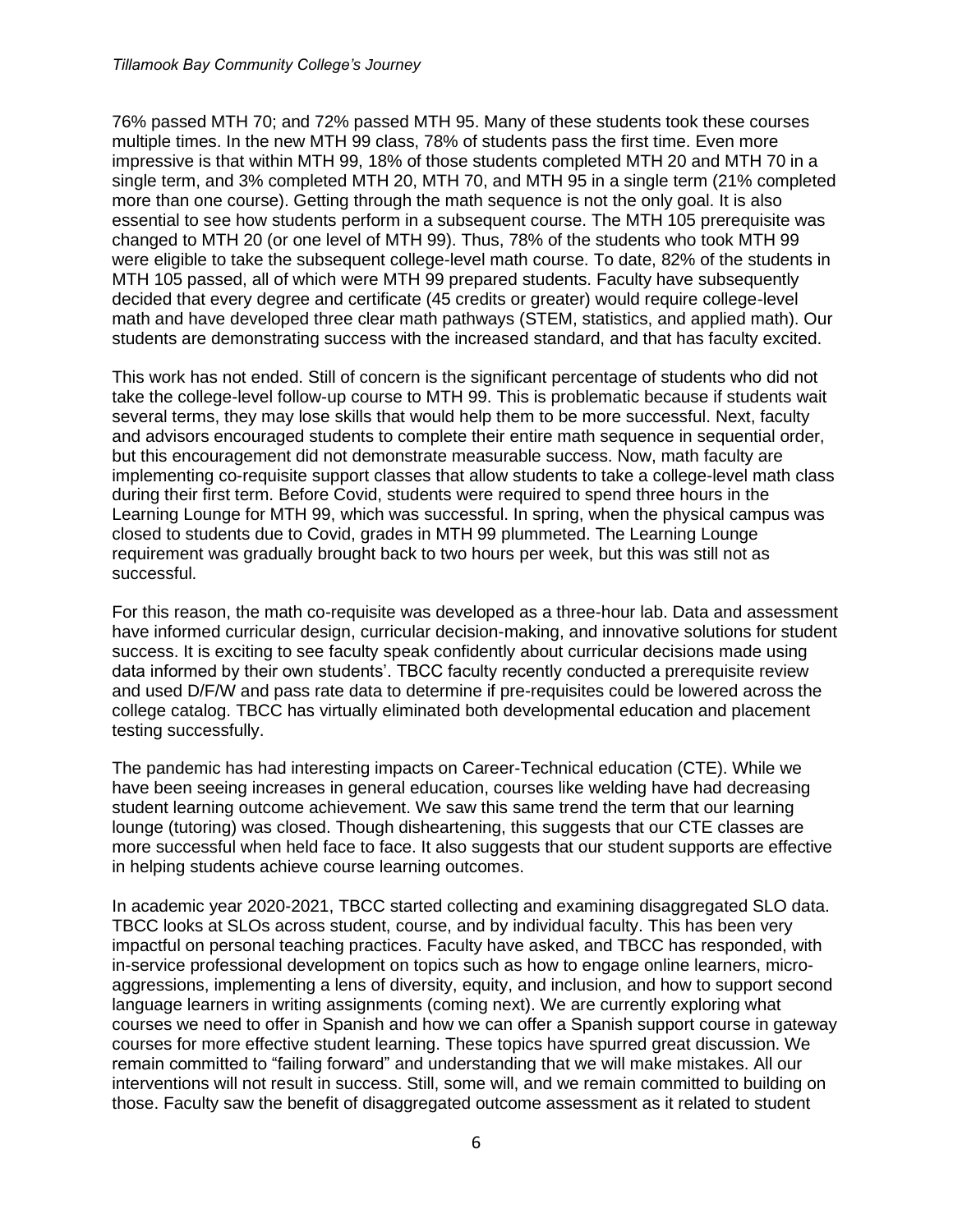76% passed MTH 70; and 72% passed MTH 95. Many of these students took these courses multiple times. In the new MTH 99 class, 78% of students pass the first time. Even more impressive is that within MTH 99, 18% of those students completed MTH 20 and MTH 70 in a single term, and 3% completed MTH 20, MTH 70, and MTH 95 in a single term (21% completed more than one course). Getting through the math sequence is not the only goal. It is also essential to see how students perform in a subsequent course. The MTH 105 prerequisite was changed to MTH 20 (or one level of MTH 99). Thus, 78% of the students who took MTH 99 were eligible to take the subsequent college-level math course. To date, 82% of the students in MTH 105 passed, all of which were MTH 99 prepared students. Faculty have subsequently decided that every degree and certificate (45 credits or greater) would require college-level math and have developed three clear math pathways (STEM, statistics, and applied math). Our students are demonstrating success with the increased standard, and that has faculty excited.

This work has not ended. Still of concern is the significant percentage of students who did not take the college-level follow-up course to MTH 99. This is problematic because if students wait several terms, they may lose skills that would help them to be more successful. Next, faculty and advisors encouraged students to complete their entire math sequence in sequential order, but this encouragement did not demonstrate measurable success. Now, math faculty are implementing co-requisite support classes that allow students to take a college-level math class during their first term. Before Covid, students were required to spend three hours in the Learning Lounge for MTH 99, which was successful. In spring, when the physical campus was closed to students due to Covid, grades in MTH 99 plummeted. The Learning Lounge requirement was gradually brought back to two hours per week, but this was still not as successful.

For this reason, the math co-requisite was developed as a three-hour lab. Data and assessment have informed curricular design, curricular decision-making, and innovative solutions for student success. It is exciting to see faculty speak confidently about curricular decisions made using data informed by their own students'. TBCC faculty recently conducted a prerequisite review and used D/F/W and pass rate data to determine if pre-requisites could be lowered across the college catalog. TBCC has virtually eliminated both developmental education and placement testing successfully.

The pandemic has had interesting impacts on Career-Technical education (CTE). While we have been seeing increases in general education, courses like welding have had decreasing student learning outcome achievement. We saw this same trend the term that our learning lounge (tutoring) was closed. Though disheartening, this suggests that our CTE classes are more successful when held face to face. It also suggests that our student supports are effective in helping students achieve course learning outcomes.

In academic year 2020-2021, TBCC started collecting and examining disaggregated SLO data. TBCC looks at SLOs across student, course, and by individual faculty. This has been very impactful on personal teaching practices. Faculty have asked, and TBCC has responded, with in-service professional development on topics such as how to engage online learners, microaggressions, implementing a lens of diversity, equity, and inclusion, and how to support second language learners in writing assignments (coming next). We are currently exploring what courses we need to offer in Spanish and how we can offer a Spanish support course in gateway courses for more effective student learning. These topics have spurred great discussion. We remain committed to "failing forward" and understanding that we will make mistakes. All our interventions will not result in success. Still, some will, and we remain committed to building on those. Faculty saw the benefit of disaggregated outcome assessment as it related to student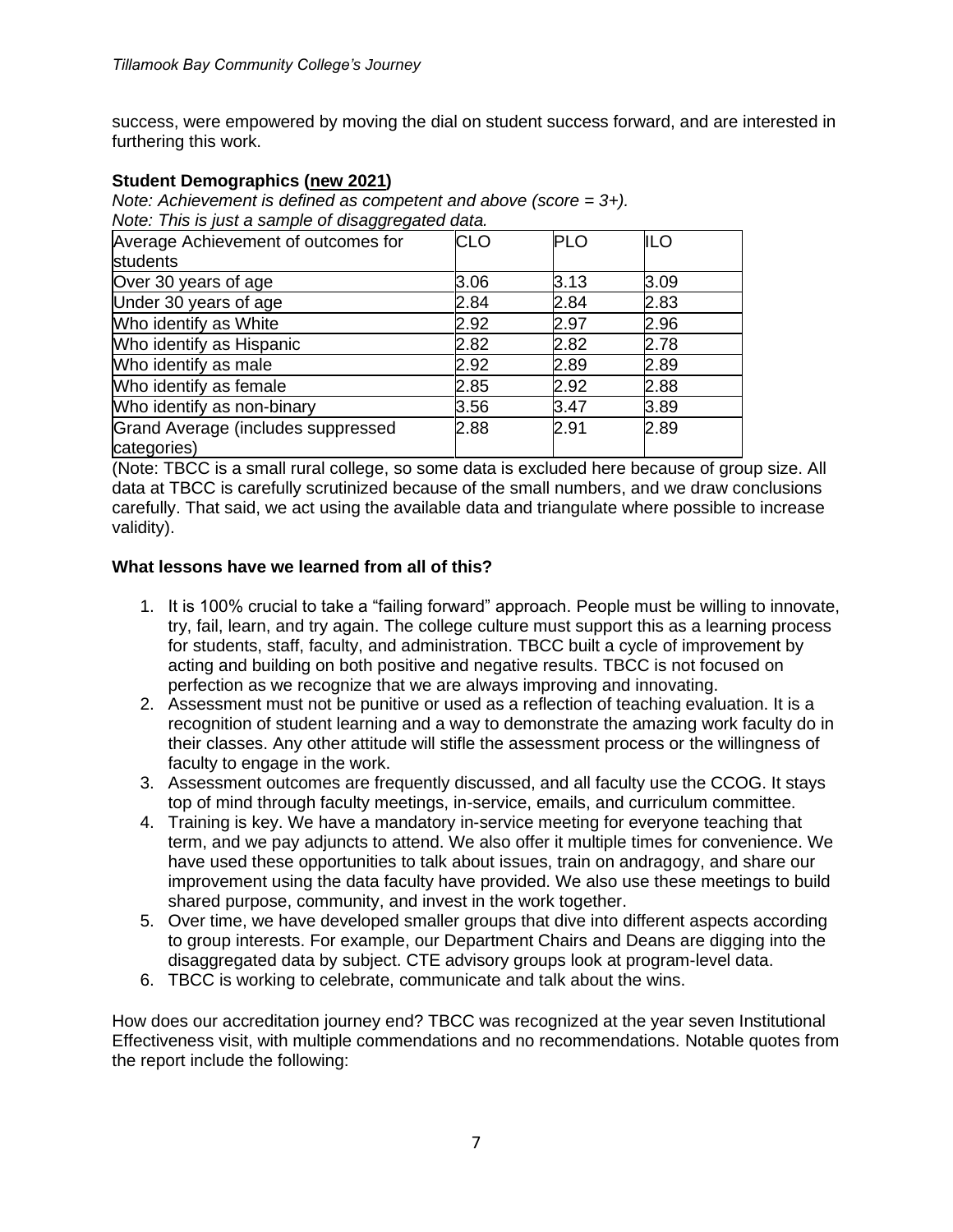success, were empowered by moving the dial on student success forward, and are interested in furthering this work.

### **Student Demographics (new 2021)**

*Note: Achievement is defined as competent and above (score = 3+). Note: This is just a sample of disaggregated data.*

| Average Achievement of outcomes for               | <b>CLO</b> | <b>PLO</b> | <b>ILO</b> |
|---------------------------------------------------|------------|------------|------------|
| <b>students</b>                                   |            |            |            |
| Over 30 years of age                              | 3.06       | 3.13       | 3.09       |
| Under 30 years of age                             | 2.84       | 2.84       | 2.83       |
| Who identify as White                             | 2.92       | 2.97       | 2.96       |
| Who identify as Hispanic                          | 2.82       | 2.82       | 2.78       |
| Who identify as male                              | 2.92       | 2.89       | 2.89       |
| Who identify as female                            | 2.85       | 2.92       | 2.88       |
| Who identify as non-binary                        | 3.56       | 3.47       | 3.89       |
| Grand Average (includes suppressed<br>categories) | 2.88       | 2.91       | 2.89       |

(Note: TBCC is a small rural college, so some data is excluded here because of group size. All data at TBCC is carefully scrutinized because of the small numbers, and we draw conclusions carefully. That said, we act using the available data and triangulate where possible to increase validity).

#### **What lessons have we learned from all of this?**

- 1. It is 100% crucial to take a "failing forward" approach. People must be willing to innovate, try, fail, learn, and try again. The college culture must support this as a learning process for students, staff, faculty, and administration. TBCC built a cycle of improvement by acting and building on both positive and negative results. TBCC is not focused on perfection as we recognize that we are always improving and innovating.
- 2. Assessment must not be punitive or used as a reflection of teaching evaluation. It is a recognition of student learning and a way to demonstrate the amazing work faculty do in their classes. Any other attitude will stifle the assessment process or the willingness of faculty to engage in the work.
- 3. Assessment outcomes are frequently discussed, and all faculty use the CCOG. It stays top of mind through faculty meetings, in-service, emails, and curriculum committee.
- 4. Training is key. We have a mandatory in-service meeting for everyone teaching that term, and we pay adjuncts to attend. We also offer it multiple times for convenience. We have used these opportunities to talk about issues, train on andragogy, and share our improvement using the data faculty have provided. We also use these meetings to build shared purpose, community, and invest in the work together.
- 5. Over time, we have developed smaller groups that dive into different aspects according to group interests. For example, our Department Chairs and Deans are digging into the disaggregated data by subject. CTE advisory groups look at program-level data.
- 6. TBCC is working to celebrate, communicate and talk about the wins.

How does our accreditation journey end? TBCC was recognized at the year seven Institutional Effectiveness visit, with multiple commendations and no recommendations. Notable quotes from the report include the following: